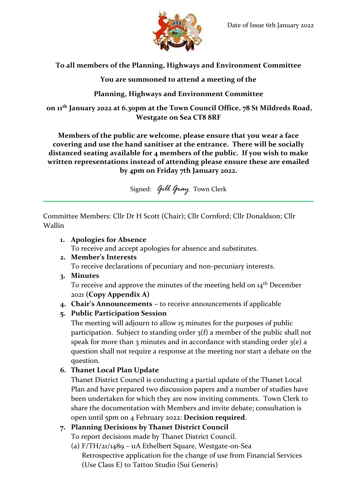

### **To all members of the Planning, Highways and Environment Committee**

**You are summoned to attend a meeting of the**

## **Planning, Highways and Environment Committee**

**on 11 th January 2022 at 6.30pm at the Town Council Office, 78 St Mildreds Road, Westgate on Sea CT8 8RF**

**Members of the public are welcome, please ensure that you wear a face covering and use the hand sanitiser at the entrance. There will be socially distanced seating available for 4 members of the public. If you wish to make written representations instead of attending please ensure these are emailed by 4pm on Friday 7th January 2022.**

Signed: *Gill Gray* Town Clerk

Committee Members: Cllr Dr H Scott (Chair); Cllr Cornford; Cllr Donaldson; Cllr Wallin

#### **1. Apologies for Absence** To receive and accept apologies for absence and substitutes.

- **2. Member's Interests** To receive declarations of pecuniary and non-pecuniary interests.
- **3. Minutes**

To receive and approve the minutes of the meeting held on  $14^{\text{th}}$  December 2021 **(Copy Appendix A)**

**4. Chair's Announcements –** to receive announcements if applicable

## **5. Public Participation Session**

The meeting will adjourn to allow 15 minutes for the purposes of public participation. Subject to standing order 3(f) a member of the public shall not speak for more than 3 minutes and in accordance with standing order  $3(e)$  a question shall not require a response at the meeting nor start a debate on the question.

## **6. Thanet Local Plan Update**

Thanet District Council is conducting a partial update of the Thanet Local Plan and have prepared two discussion papers and a number of studies have been undertaken for which they are now inviting comments. Town Clerk to share the documentation with Members and invite debate; consultation is open until 5pm on 4 February 2022: **Decision required**.

# **7. Planning Decisions by Thanet District Council**

To report decisions made by Thanet District Council.

(a) F/TH/21/1489 – 11A Ethelbert Square, Westgate-on-Sea Retrospective application for the change of use from Financial Services (Use Class E) to Tattoo Studio (Sui Generis)